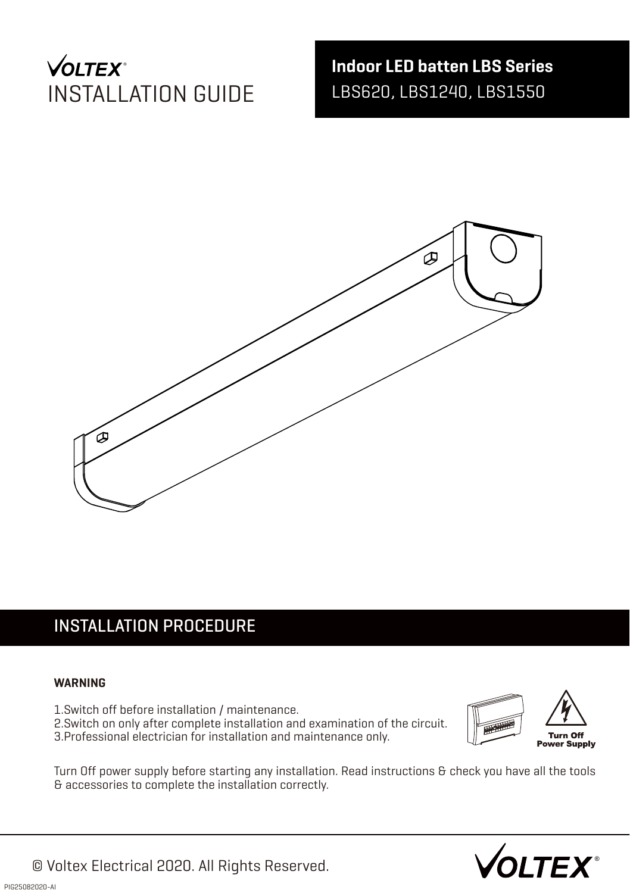# **VOLTEX**\* INSTALLATION GUIDE

**Indoor LED batten LBS Series** LBS620, LBS1240, LBS1550



# INSTALLATION PROCEDURE

#### **WARNING**

- 1.Switch off before installation / maintenance.
- 2. Switch on only after complete installation and examination of the circuit.
- 3. Professional electrician for installation and maintenance only.



Turn Off power supply before starting any installation. Read instructions & check you have all the tools & accessories to complete the installation correctly.

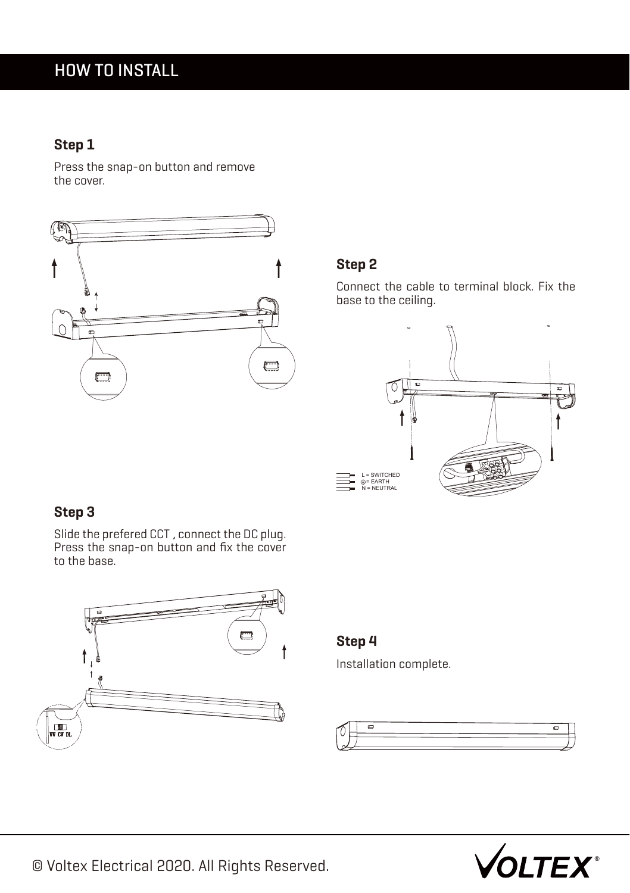# HOW TO INSTALL

### **Step 1**

Press the snap-on button and remove the cover.



#### **Step 2**

Connect the cable to terminal block. Fix the base to the ceiling.



## **Step 3**

Slide the prefered CCT , connect the DC plug. Press the snap-on button and fix the cover to the base.



#### **Step 4**

Installation complete.





© Voltex Electrical 2020. All Rights Reserved.  $\sqrt{\text{OLTEX}}$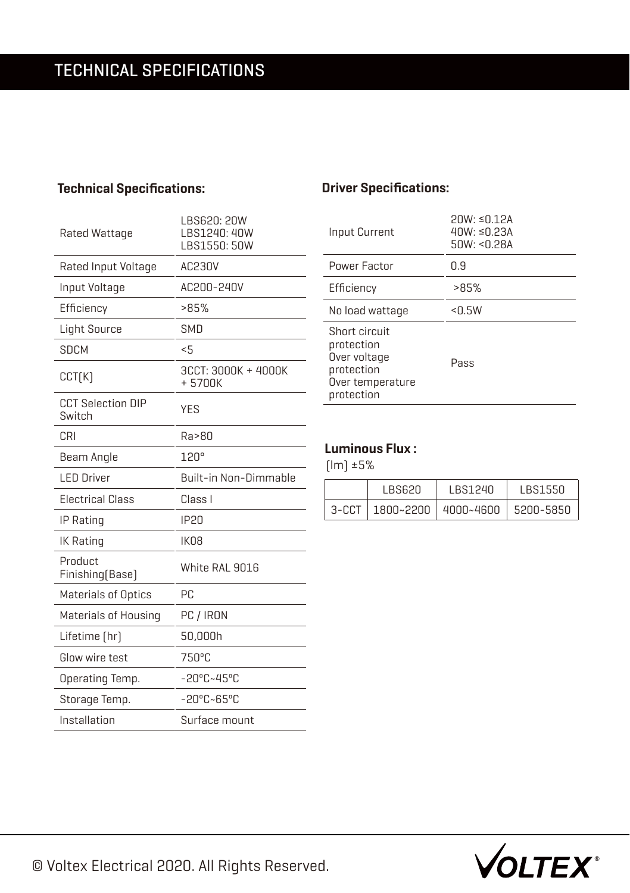## **Technical Specifications:**

| Rated Wattage                      | LBS620: 20W<br>LBS1240: 40W<br>LBS1550: 50W |  |
|------------------------------------|---------------------------------------------|--|
| Rated Input Voltage                | AC230V                                      |  |
| Input Voltage                      | AC200-240V                                  |  |
| Efficiency                         | >85%                                        |  |
| <b>Light Source</b>                | <b>SMD</b>                                  |  |
| SDCM                               | 5                                           |  |
| CCT(K)                             | 3CCT: 3000K + 4000K<br>+5700K               |  |
| <b>CCT Selection DIP</b><br>Switch | <b>YES</b>                                  |  |
| CRI                                | Ra>80                                       |  |
| Beam Angle                         | 120°                                        |  |
| <b>LED Driver</b>                  | Built-in Non-Dimmable                       |  |
| <b>Electrical Class</b>            | Class I                                     |  |
| IP Rating                          | <b>IP20</b>                                 |  |
| IK Rating                          | IK08                                        |  |
| Product<br>Finishing [Base]        | White RAL 9016                              |  |
| <b>Materials of Optics</b>         | РC                                          |  |
| Materials of Housing               | PC / IRON                                   |  |
| Lifetime [hr]                      | 50,000h                                     |  |
| Glow wire test                     | 750°C                                       |  |
| Operating Temp.                    | $-20^{\circ}$ C~45°C                        |  |
| Storage Temp.                      | $-20^{\circ}$ C $\sim$ 65°C                 |  |
| Installation                       | Surface mount                               |  |

### **Driver Specifications:**

| Input Current                                                                               | $20W: \le 0.12A$<br>$40W: \leq 0.23A$<br>50W: < 0.28A |
|---------------------------------------------------------------------------------------------|-------------------------------------------------------|
| Power Factor                                                                                | 0.9                                                   |
| Efficiency                                                                                  | >85%                                                  |
| No load wattage                                                                             | < 0.5W                                                |
| Short circuit<br>protection<br>Over voltage<br>protection<br>Over temperature<br>protection | Pass                                                  |

### **Luminous Flux :**

(lm) ±5%

| I BS620 | <b>LBS1240</b>                            | LBS1550 |
|---------|-------------------------------------------|---------|
|         | 3-CCT   1800~2200   4000~4600   5200-5850 |         |